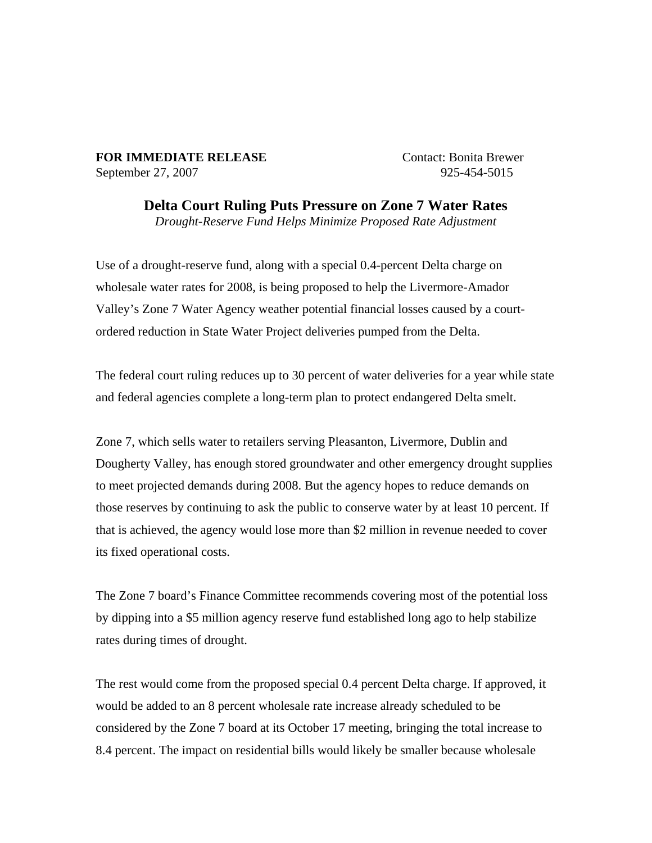## **FOR IMMEDIATE RELEASE** Contact: Bonita Brewer September 27, 2007 925-454-5015

**Delta Court Ruling Puts Pressure on Zone 7 Water Rates** 

*Drought-Reserve Fund Helps Minimize Proposed Rate Adjustment* 

Use of a drought-reserve fund, along with a special 0.4-percent Delta charge on wholesale water rates for 2008, is being proposed to help the Livermore-Amador Valley's Zone 7 Water Agency weather potential financial losses caused by a courtordered reduction in State Water Project deliveries pumped from the Delta.

The federal court ruling reduces up to 30 percent of water deliveries for a year while state and federal agencies complete a long-term plan to protect endangered Delta smelt.

Zone 7, which sells water to retailers serving Pleasanton, Livermore, Dublin and Dougherty Valley, has enough stored groundwater and other emergency drought supplies to meet projected demands during 2008. But the agency hopes to reduce demands on those reserves by continuing to ask the public to conserve water by at least 10 percent. If that is achieved, the agency would lose more than \$2 million in revenue needed to cover its fixed operational costs.

The Zone 7 board's Finance Committee recommends covering most of the potential loss by dipping into a \$5 million agency reserve fund established long ago to help stabilize rates during times of drought.

The rest would come from the proposed special 0.4 percent Delta charge. If approved, it would be added to an 8 percent wholesale rate increase already scheduled to be considered by the Zone 7 board at its October 17 meeting, bringing the total increase to 8.4 percent. The impact on residential bills would likely be smaller because wholesale